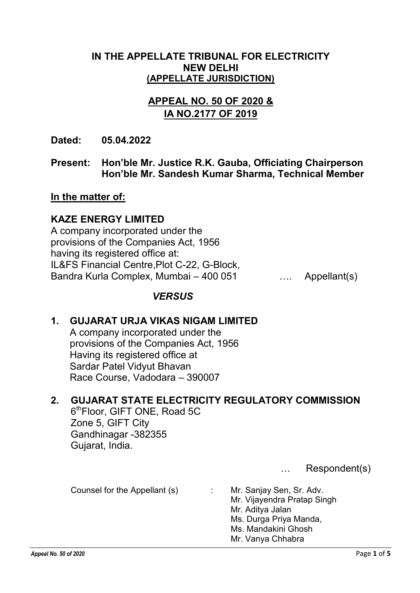### IN THE APPELLATE TRIBUNAL FOR ELECTRICITY NEW DELHI (APPELLATE JURISDICTION)

# APPEAL NO. 50 OF 2020 & IA NO.2177 OF 2019

Dated: 05.04.2022

Present: Hon'ble Mr. Justice R.K. Gauba, Officiating Chairperson Hon'ble Mr. Sandesh Kumar Sharma, Technical Member

In the matter of:

# KAZE ENERGY LIMITED

A company incorporated under the provisions of the Companies Act, 1956 having its registered office at: IL&FS Financial Centre,Plot C-22, G-Block, Bandra Kurla Complex, Mumbai – 400 051 …. Appellant(s)

### *VERSUS*

# 1. GUJARAT URJA VIKAS NIGAM LIMITED

A company incorporated under the provisions of the Companies Act, 1956 Having its registered office at Sardar Patel Vidyut Bhavan Race Course, Vadodara – 390007

# 2. GUJARAT STATE ELECTRICITY REGULATORY COMMISSION

6<sup>th</sup>Floor, GIFT ONE, Road 5C Zone 5, GIFT City Gandhinagar -382355 Gujarat, India.

… Respondent(s)

| Counsel for the Appellant (s) | Mr. Sanjay Sen, Sr. Adv.<br>Mr. Vijayendra Pratap Singh |
|-------------------------------|---------------------------------------------------------|
|                               | Mr. Aditya Jalan                                        |
|                               | Ms. Durga Priya Manda,                                  |
|                               | Ms. Mandakini Ghosh                                     |
|                               | Mr. Vanya Chhabra                                       |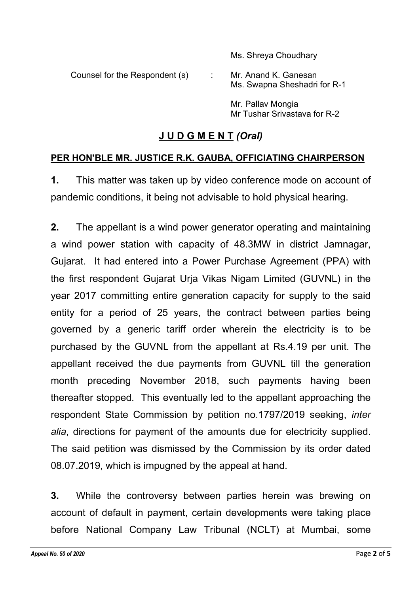Ms. Shreya Choudhary

Counsel for the Respondent (s) : Mr. Anand K. Ganesan Ms. Swapna Sheshadri for R-1 Mr. Pallav Mongia Mr Tushar Srivastava for R-2

# J U D G M E N T *(Oral)*

### PER HON'BLE MR. JUSTICE R.K. GAUBA, OFFICIATING CHAIRPERSON

1. This matter was taken up by video conference mode on account of pandemic conditions, it being not advisable to hold physical hearing.

2. The appellant is a wind power generator operating and maintaining a wind power station with capacity of 48.3MW in district Jamnagar, Gujarat. It had entered into a Power Purchase Agreement (PPA) with the first respondent Gujarat Urja Vikas Nigam Limited (GUVNL) in the year 2017 committing entire generation capacity for supply to the said entity for a period of 25 years, the contract between parties being governed by a generic tariff order wherein the electricity is to be purchased by the GUVNL from the appellant at Rs.4.19 per unit. The appellant received the due payments from GUVNL till the generation month preceding November 2018, such payments having been thereafter stopped. This eventually led to the appellant approaching the respondent State Commission by petition no.1797/2019 seeking, *inter alia*, directions for payment of the amounts due for electricity supplied. The said petition was dismissed by the Commission by its order dated 08.07.2019, which is impugned by the appeal at hand.

3. While the controversy between parties herein was brewing on account of default in payment, certain developments were taking place before National Company Law Tribunal (NCLT) at Mumbai, some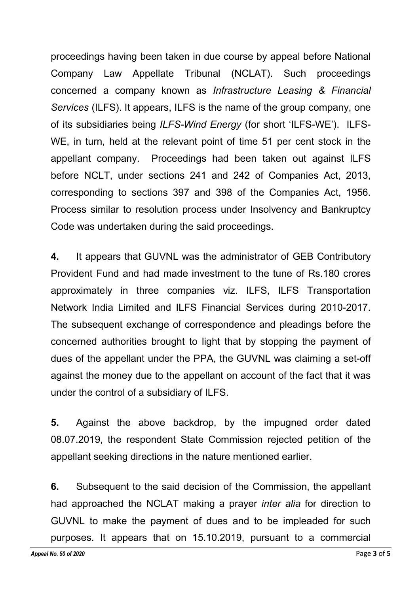proceedings having been taken in due course by appeal before National Company Law Appellate Tribunal (NCLAT). Such proceedings concerned a company known as *Infrastructure Leasing & Financial Services* (ILFS). It appears, ILFS is the name of the group company, one of its subsidiaries being *ILFS-Wind Energy* (for short 'ILFS-WE'). ILFS-WE, in turn, held at the relevant point of time 51 per cent stock in the appellant company. Proceedings had been taken out against ILFS before NCLT, under sections 241 and 242 of Companies Act, 2013, corresponding to sections 397 and 398 of the Companies Act, 1956. Process similar to resolution process under Insolvency and Bankruptcy Code was undertaken during the said proceedings.

4. It appears that GUVNL was the administrator of GEB Contributory Provident Fund and had made investment to the tune of Rs.180 crores approximately in three companies viz. ILFS, ILFS Transportation Network India Limited and ILFS Financial Services during 2010-2017. The subsequent exchange of correspondence and pleadings before the concerned authorities brought to light that by stopping the payment of dues of the appellant under the PPA, the GUVNL was claiming a set-off against the money due to the appellant on account of the fact that it was under the control of a subsidiary of ILFS.

5. Against the above backdrop, by the impugned order dated 08.07.2019, the respondent State Commission rejected petition of the appellant seeking directions in the nature mentioned earlier.

6. Subsequent to the said decision of the Commission, the appellant had approached the NCLAT making a prayer *inter alia* for direction to GUVNL to make the payment of dues and to be impleaded for such purposes. It appears that on 15.10.2019, pursuant to a commercial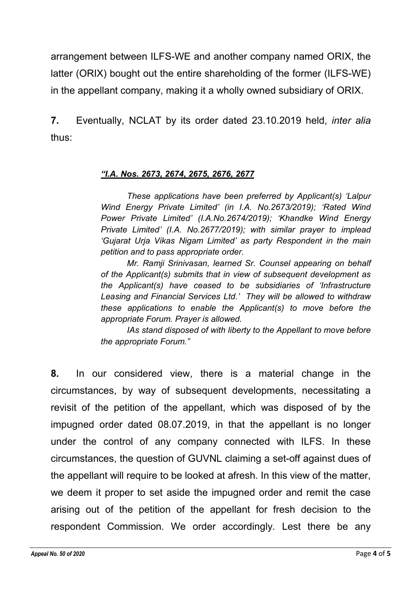arrangement between ILFS-WE and another company named ORIX, the latter (ORIX) bought out the entire shareholding of the former (ILFS-WE) in the appellant company, making it a wholly owned subsidiary of ORIX.

7. Eventually, NCLAT by its order dated 23.10.2019 held, *inter alia*  thus:

#### *"I.A. Nos. 2673, 2674, 2675, 2676, 2677*

*These applications have been preferred by Applicant(s) 'Lalpur Wind Energy Private Limited' (in I.A. No.2673/2019); 'Rated Wind Power Private Limited' (I.A.No.2674/2019); 'Khandke Wind Energy Private Limited' (I.A. No.2677/2019); with similar prayer to implead 'Gujarat Urja Vikas Nigam Limited' as party Respondent in the main petition and to pass appropriate order.* 

*Mr. Ramji Srinivasan, learned Sr. Counsel appearing on behalf of the Applicant(s) submits that in view of subsequent development as the Applicant(s) have ceased to be subsidiaries of 'Infrastructure Leasing and Financial Services Ltd.' They will be allowed to withdraw these applications to enable the Applicant(s) to move before the appropriate Forum. Prayer is allowed.* 

*IAs stand disposed of with liberty to the Appellant to move before the appropriate Forum."* 

8. In our considered view, there is a material change in the circumstances, by way of subsequent developments, necessitating a revisit of the petition of the appellant, which was disposed of by the impugned order dated 08.07.2019, in that the appellant is no longer under the control of any company connected with ILFS. In these circumstances, the question of GUVNL claiming a set-off against dues of the appellant will require to be looked at afresh. In this view of the matter, we deem it proper to set aside the impugned order and remit the case arising out of the petition of the appellant for fresh decision to the respondent Commission. We order accordingly. Lest there be any